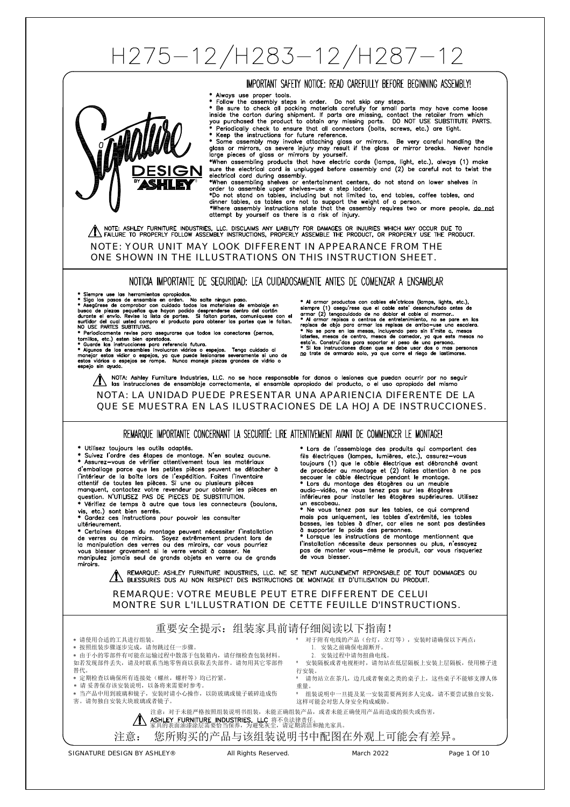# H275-12/H283-12/H287-12

## IMPORTANT SAFETY NOTICE: READ CAREFULLY BEFORE BEGINNING ASSEMBLY!

- \* Always use proper tools
- 

\* Always use proper tools.<br>
\* Follow the assembly steps in order. Do not skip any steps.<br>
\* Follow the assembly steps in order. To not skip any steps.<br>
\* Ee sure to check all packing materials carefully for small parts may

sure the electrical cord is unplugged before assembly and (2) be careful not to twist the<br>electrical cord during assembly.

electrical cord auring assembly<br>
\*When assembling shelves or entertainment centers, do not stand on lower shelves in<br>
order to assemble upper shelves-use a step ladder.<br>
\*When ot stand on tables, including but not limited

THE NOTE: ASHLEY FURNITURE INDUSTRIES, LLC. DISCLAIMS ANY LIABILITY FOR DAMAGES OR INJURIES WHICH MAY OCCUR DUE TO TROPERLY FOLLOW ASSEMBLY INSTRUCTIONS, PROPERLY ASSEMBLE THE PRODUCT.

#### NOTE: YOUR UNIT MAY LOOK DIFFERENT IN APPEARANCE FROM THE ONE SHOWN IN THE ILLUSTRATIONS ON THIS INSTRUCTION SHEET.

NOTICIA IMPORTANTE DE SEGURIDAD: LEA CUIDADOSAMENTE ANTES DE COMENZAR A ENSAMBLAR

**CLII E** 

\* Siempre use las herramientas apropiadas.<br>\* Siga los pasos de ensamble en orden. No salte ningun paso.<br>\* Asegūrese de comprobar con cuidado todos los materiales de embaloje en \* Asegūrese de comprobar con cuidado desprend

®

NO USE PARTES SUBITIUTAS.<br>
\* Periodicamente revise para asegurarse que todos los conectores (pernos,<br>
tornillos, etc.) esten bien apretados.<br>
\* Guarde las instrucciones para referencia futura.<br>
\* Algunos de los ensambles i

Al armar productos con cables ele'ctricos (lamps, liahts, etc.). \* Al armar productos con coloise electricos (lamps, lights, etc.),<br>siempre (1) aseguirese que el coble este desenchuïdado antes de<br>armar (2) tengacuidado de no doblar el coble al marmar..<br>repisas de objo para armar las rep

NOTA: Ashley Furniture Industries, LLC. no se hace responsable for danos o lesiones que puedan ocurrir por no seguir<br>Il las instrucciones de ensamblaje correctamente, el ensamble apropiado del producto, o el uso apropiado

#### NOTA: LA UNIDAD PUEDE PRESENTAR UNA APARIENCIA DIFERENTE DE LA QUE SE MUESTRA EN LAS ILUSTRACIONES DE LA HOJA DE INSTRUCCIONES.

## REMARQUE IMPORTANTE CONCERNANT LA SECURITÉ: LIRE ATTENTIVEMENT AVANT DE COMMENCER LE MONTAGE!

\* Utilisez toujours les outils adaptés.

Suivez l'ordre des étapes de montage. N'en sautez aucune.<br>\* Suivez l'ordre des étapes de montage. N'en sautez aucune.<br>\* Assurez-vous de vérifier attentivement tous les matériaux \* Assurez-vous de vérifier attentivement tous les matériaux<br>d'emballage parce que les petites pièces peuvent se détacher à<br>l'intérieur de la boîte lors de l'expédition. Faites l'inventaire<br>attentif de toutes les pièces. Si Vérifiez de temps à autre que tous les connecteurs (boulons,

vis, etc.) sont bien serrés.<br>
\* Gardez ces instructions pour pouvoir les consulter<br>
\* Gardez ces instructions pour pouvoir les consulter ultérieurement.

uterieurement.<br>
Sover peuvent nécessiter l'installation<br>
de verres ou de miroirs. Soyez extrêmement prudent lors de<br>
la manipulation des verres ou des miroirs, car vous pourriez<br>
la manipulation des verres ou des miroirs, miroire

\* Lors de l'assemblage des produits qui comportent des \* Lors de l'assemblage des produits qui comportent des<br>fils électriques (lampes, lumières, etc.), assurez-vous<br>toujours (1) que le câble électrique est débranché avant<br>de procéder au montage et (2) faites attention à ne pa un escabeau. Ne vous tenez pas sur les tables, ce qui comprend mais pas uniquement, les tables d'extrémité, les tables basses, les tables à d'îner, car elles ne sont pas destinées<br>d'aspecter le poids des personnes.<br>\* Lorsque les instructions de montage mentionnent que L'installation nécessite deux personnes ou plus, n'essayez<br>pas de monter vous-même le produit, car vous risqueriez<br>de vous blesser.

REMARQUE: ASHLEY FURNITURE INDUSTRIES, LLC. NE SE TIENT AUCUNEMENT REPONSABLE DE TOUT DOMMAGES OU A REMARQUE: ASHLEY FURNITURE INDUSTRIES, LLC. NE SE TIENT AUCUNEMENT REPONSABLE DE TOUT

# REMARQUE: VOTRE MEUBLE PEUT ETRE DIFFERENT DE CELUI MONTRE SUR L'ILLUSTRATION DE CETTE FEUILLE D'INSTRUCTIONS.



- 请使用合适的工具进行组装。 \* 按照组装步骤逐步完成, 请勿跳过任一步骤。
- 

由于小的零部件有可能在运输过程中散落于包装箱内,请仔细检查包装材料。 如若发现部件丢失,请及时联系当地零售商以获取丢失部件。请勿用其它零部件 替代。

- ……<br>\* 定期检查以确保所有连接处 (螺丝, 螺杆等) 均已拧紧。
- \* 请 妥善保存该安装说明, 以备将来需要时参考。

当产品中用到玻璃和镜子,安装时请小心操作,以防玻璃或镜子破碎造成伤 害。请勿独自安装大块玻璃或者镜子。

- ....<br>请勿站立在茶几,边几或者餐桌之类的桌子上,这些桌子不能够支撑人体 重量。
- \* 组装说明中一旦提及某一安装需要两到多人完成,请不要尝试独自安装,

安装隔板或者电视柜时,请勿站在低层隔板上安装上层隔板,使用梯子进

这样可能会对您人身安全构成威胁。

 1. 安装之前确保电源断开。 2. 安装过程中请勿扭曲电线。

注意:对于未能严格按照组装说明书组装,未能正确组装产品,或者未能正确使用产品而造成的损失或伤害,

行安装。

**ASHLEY FURNITURE INDUSTRIES, LLC** 将不负法律责任。<br>家具的表面油漆涂层需要恰当保养,为避免灰尘,请定期清洁和抛光家具。

注意: 您所购买的产品与该组装说明书中配图在外观上可能会有差异。

SIGNATURE DESIGN BY ASHLEY® All Rights Reserved. March 2022 Page 1 Of 10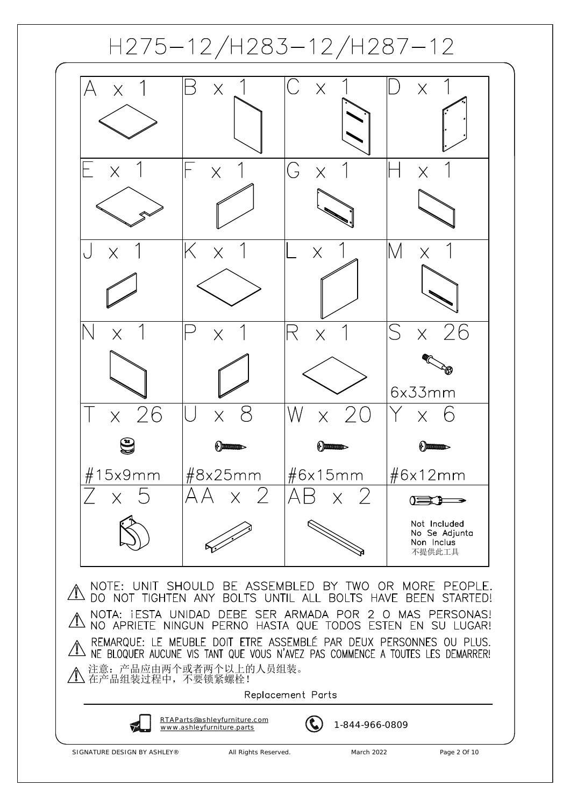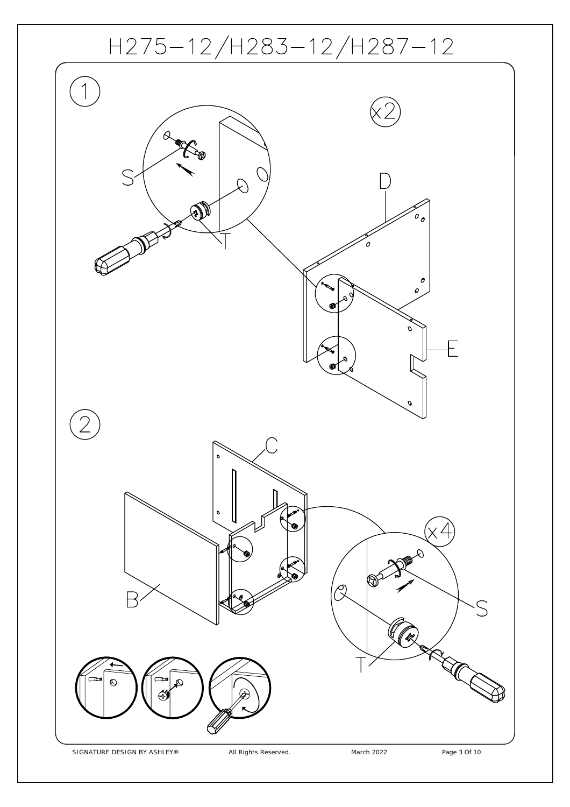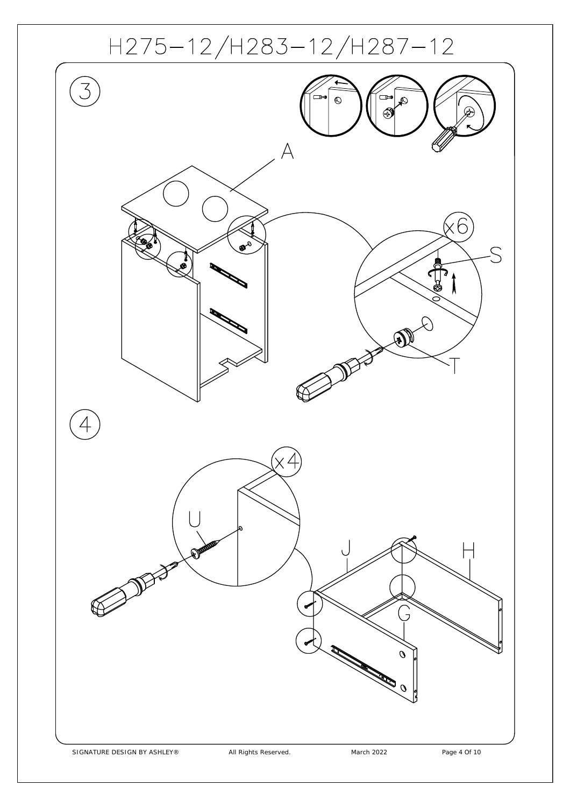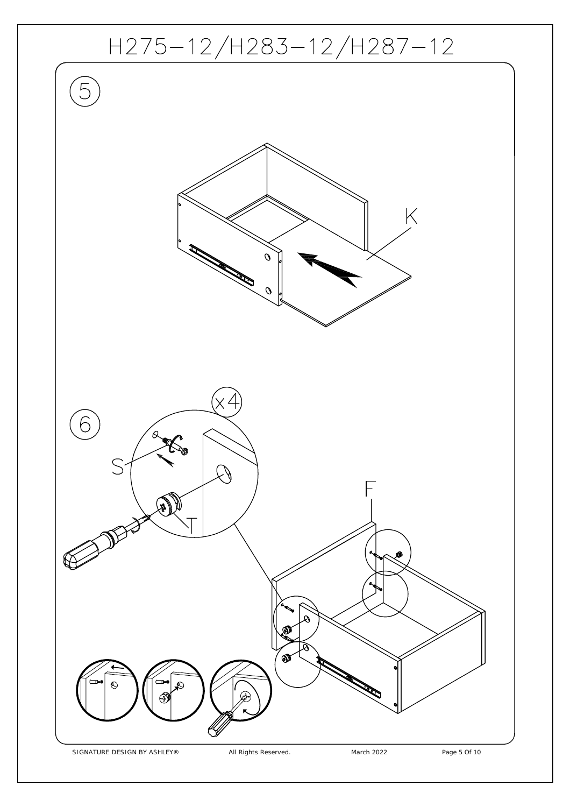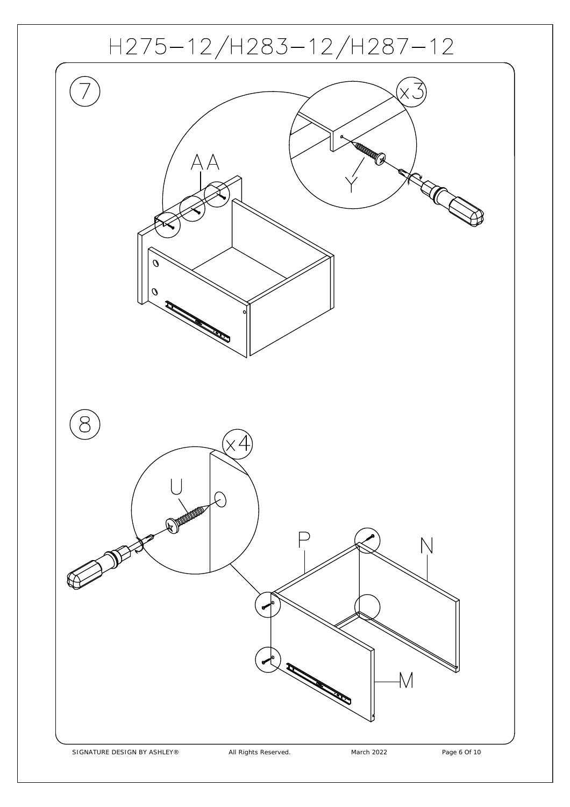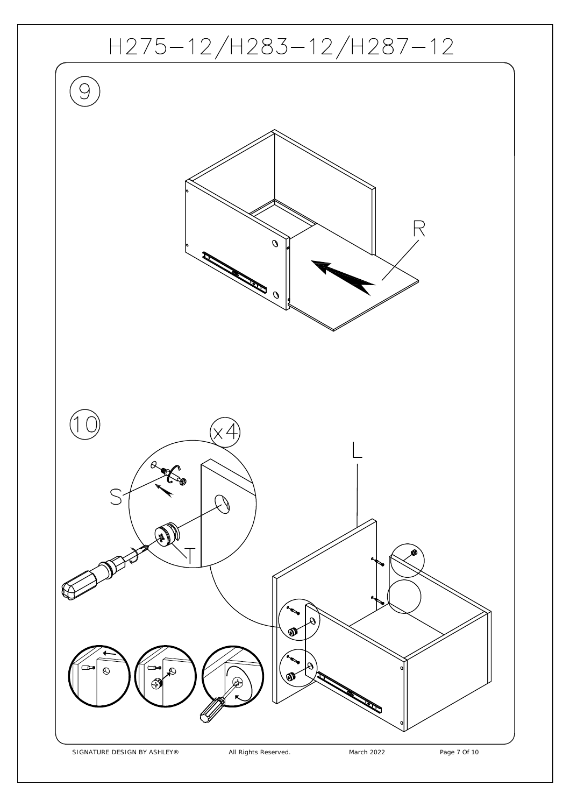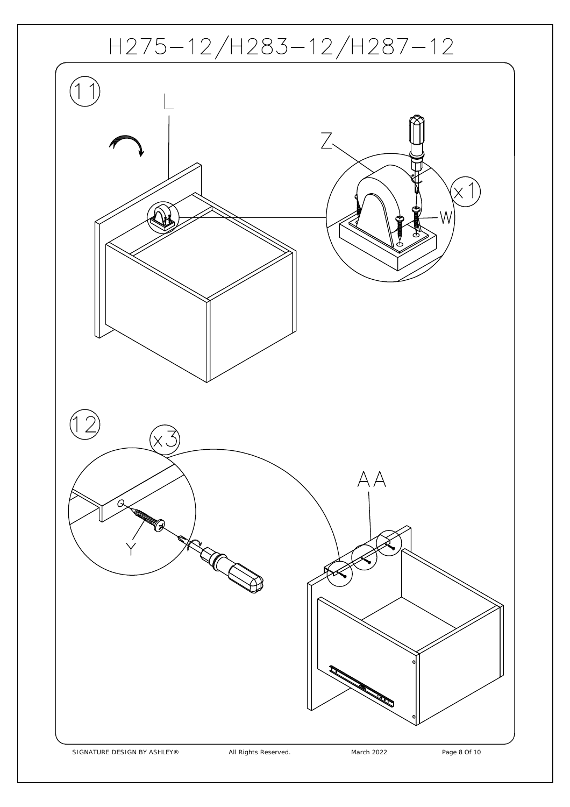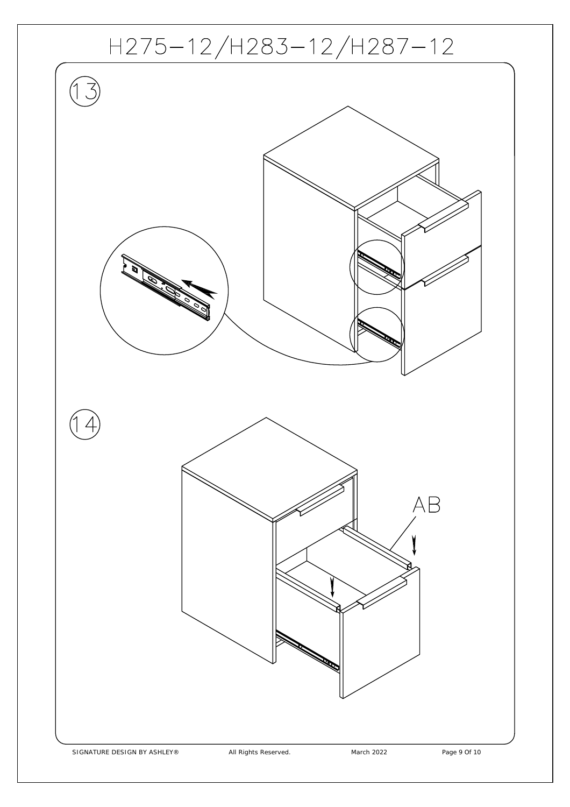